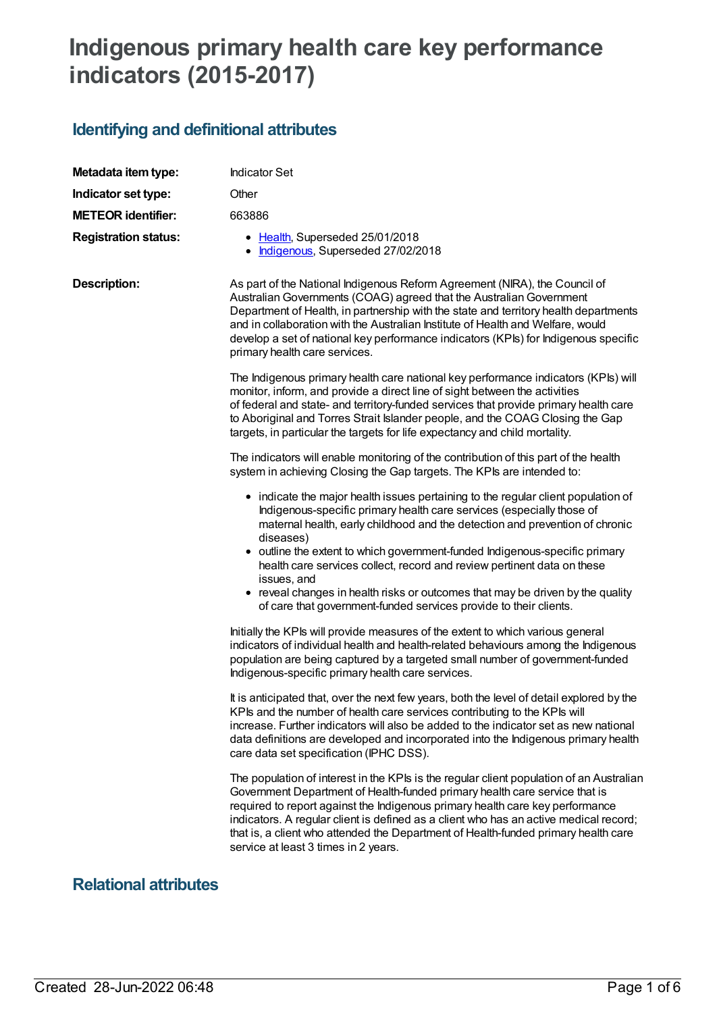# **Indigenous primary health care key performance indicators (2015-2017)**

## **Identifying and definitional attributes**

| Metadata item type:         | <b>Indicator Set</b>                                                                                                                                                                                                                                                                                                                                                                                                                                                                                                                                                                    |
|-----------------------------|-----------------------------------------------------------------------------------------------------------------------------------------------------------------------------------------------------------------------------------------------------------------------------------------------------------------------------------------------------------------------------------------------------------------------------------------------------------------------------------------------------------------------------------------------------------------------------------------|
| Indicator set type:         | Other                                                                                                                                                                                                                                                                                                                                                                                                                                                                                                                                                                                   |
| <b>METEOR identifier:</b>   | 663886                                                                                                                                                                                                                                                                                                                                                                                                                                                                                                                                                                                  |
| <b>Registration status:</b> | • Health, Superseded 25/01/2018<br>Indigenous, Superseded 27/02/2018                                                                                                                                                                                                                                                                                                                                                                                                                                                                                                                    |
| <b>Description:</b>         | As part of the National Indigenous Reform Agreement (NIRA), the Council of<br>Australian Governments (COAG) agreed that the Australian Government<br>Department of Health, in partnership with the state and territory health departments<br>and in collaboration with the Australian Institute of Health and Welfare, would<br>develop a set of national key performance indicators (KPIs) for Indigenous specific<br>primary health care services.                                                                                                                                    |
|                             | The Indigenous primary health care national key performance indicators (KPIs) will<br>monitor, inform, and provide a direct line of sight between the activities<br>of federal and state- and territory-funded services that provide primary health care<br>to Aboriginal and Torres Strait Islander people, and the COAG Closing the Gap<br>targets, in particular the targets for life expectancy and child mortality.                                                                                                                                                                |
|                             | The indicators will enable monitoring of the contribution of this part of the health<br>system in achieving Closing the Gap targets. The KPIs are intended to:                                                                                                                                                                                                                                                                                                                                                                                                                          |
|                             | • indicate the major health issues pertaining to the regular client population of<br>Indigenous-specific primary health care services (especially those of<br>maternal health, early childhood and the detection and prevention of chronic<br>diseases)<br>• outline the extent to which government-funded Indigenous-specific primary<br>health care services collect, record and review pertinent data on these<br>issues, and<br>• reveal changes in health risks or outcomes that may be driven by the quality<br>of care that government-funded services provide to their clients. |
|                             | Initially the KPIs will provide measures of the extent to which various general<br>indicators of individual health and health-related behaviours among the Indigenous<br>population are being captured by a targeted small number of government-funded<br>Indigenous-specific primary health care services.                                                                                                                                                                                                                                                                             |
|                             | It is anticipated that, over the next few years, both the level of detail explored by the<br>KPIs and the number of health care services contributing to the KPIs will<br>increase. Further indicators will also be added to the indicator set as new national<br>data definitions are developed and incorporated into the Indigenous primary health<br>care data set specification (IPHC DSS).                                                                                                                                                                                         |
|                             | The population of interest in the KPIs is the regular client population of an Australian<br>Government Department of Health-funded primary health care service that is<br>required to report against the Indigenous primary health care key performance<br>indicators. A regular client is defined as a client who has an active medical record;<br>that is, a client who attended the Department of Health-funded primary health care<br>service at least 3 times in 2 years.                                                                                                          |

## **Relational attributes**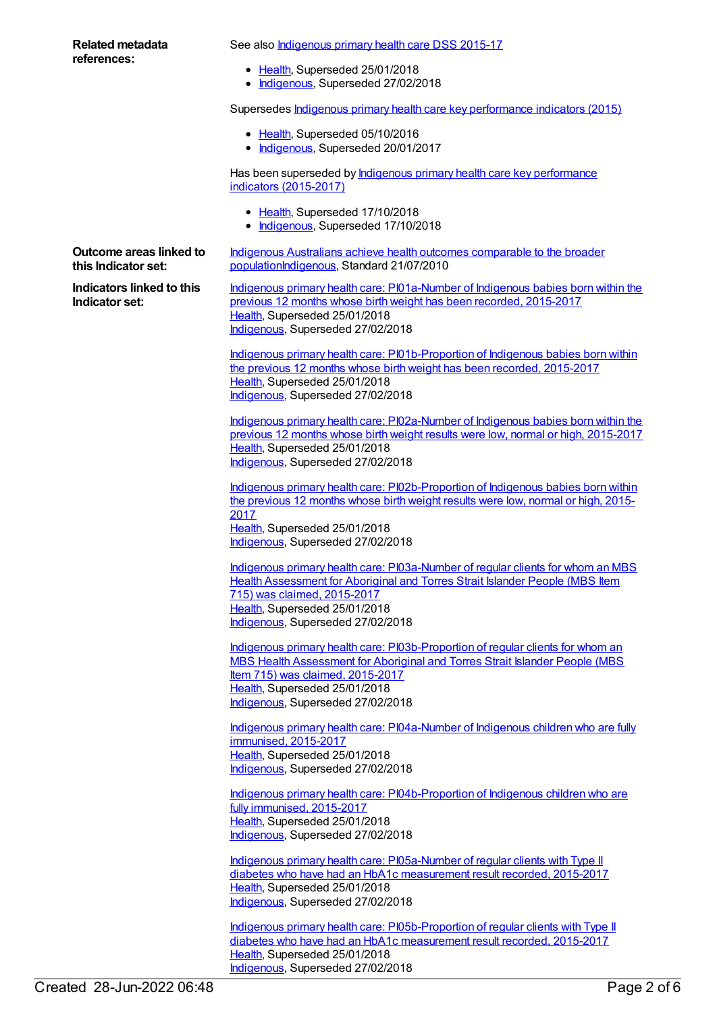#### **Related metadata references:**

See also **[Indigenous](https://meteor.aihw.gov.au/content/585036) primary health care DSS 2015-17** 

- [Health](https://meteor.aihw.gov.au/RegistrationAuthority/12), Superseded 25/01/2018
- [Indigenous](https://meteor.aihw.gov.au/RegistrationAuthority/6), Superseded 27/02/2018

Supersedes Indigenous primary health care key [performance](https://meteor.aihw.gov.au/content/584983) indicators (2015)

- [Health](https://meteor.aihw.gov.au/RegistrationAuthority/12), Superseded 05/10/2016
- [Indigenous](https://meteor.aihw.gov.au/RegistrationAuthority/6), Superseded 20/01/2017

Has been superseded by **Indigenous primary health care key [performance](https://meteor.aihw.gov.au/content/686315)** indicators (2015-2017)

- [Health](https://meteor.aihw.gov.au/RegistrationAuthority/12), Superseded 17/10/2018
- [Indigenous](https://meteor.aihw.gov.au/RegistrationAuthority/6), Superseded 17/10/2018

Indigenous Australians achieve health outcomes comparable to the broader [populationIndigenous,](https://meteor.aihw.gov.au/content/396115) Standard 21/07/2010

**Outcome areas linked to this Indicator set:**

**Indicators linked to this Indicator set:**

Indigenous primary health care: [PI01a-Number](https://meteor.aihw.gov.au/content/663900) of Indigenous babies born within the previous 12 months whose birth weight has been recorded, 2015-2017 [Health](https://meteor.aihw.gov.au/RegistrationAuthority/12), Superseded 25/01/2018 [Indigenous](https://meteor.aihw.gov.au/RegistrationAuthority/6), Superseded 27/02/2018

Indigenous primary health care: [PI01b-Proportion](https://meteor.aihw.gov.au/content/663903) of Indigenous babies born within the previous 12 months whose birth weight has been recorded, 2015-2017 [Health](https://meteor.aihw.gov.au/RegistrationAuthority/12), Superseded 25/01/2018 [Indigenous](https://meteor.aihw.gov.au/RegistrationAuthority/6), Superseded 27/02/2018

Indigenous primary health care: [PI02a-Number](https://meteor.aihw.gov.au/content/663905) of Indigenous babies born within the previous 12 months whose birth weight results were low, normal or high, 2015-2017 [Health](https://meteor.aihw.gov.au/RegistrationAuthority/12), Superseded 25/01/2018 [Indigenous](https://meteor.aihw.gov.au/RegistrationAuthority/6), Superseded 27/02/2018

Indigenous primary health care: [PI02b-Proportion](https://meteor.aihw.gov.au/content/663907) of Indigenous babies born within the previous 12 months whose birth weight results were low, normal or high, 2015- 2017 [Health](https://meteor.aihw.gov.au/RegistrationAuthority/12), Superseded 25/01/2018 [Indigenous](https://meteor.aihw.gov.au/RegistrationAuthority/6), Superseded 27/02/2018

Indigenous primary health care: [PI03a-Number](https://meteor.aihw.gov.au/content/663909) of regular clients for whom an MBS Health Assessment for Aboriginal and Torres Strait Islander People (MBS Item 715) was claimed, 2015-2017 [Health](https://meteor.aihw.gov.au/RegistrationAuthority/12), Superseded 25/01/2018 [Indigenous](https://meteor.aihw.gov.au/RegistrationAuthority/6), Superseded 27/02/2018

Indigenous primary health care: [PI03b-Proportion](https://meteor.aihw.gov.au/content/663913) of regular clients for whom an MBS Health Assessment for Aboriginal and Torres Strait Islander People (MBS Item 715) was claimed, 2015-2017 [Health](https://meteor.aihw.gov.au/RegistrationAuthority/12), Superseded 25/01/2018 [Indigenous](https://meteor.aihw.gov.au/RegistrationAuthority/6), Superseded 27/02/2018

Indigenous primary health care: [PI04a-Number](https://meteor.aihw.gov.au/content/663916) of Indigenous children who are fully immunised, 2015-2017 [Health](https://meteor.aihw.gov.au/RegistrationAuthority/12), Superseded 25/01/2018 [Indigenous](https://meteor.aihw.gov.au/RegistrationAuthority/6), Superseded 27/02/2018

Indigenous primary health care: [PI04b-Proportion](https://meteor.aihw.gov.au/content/663921) of Indigenous children who are fully immunised, 2015-2017 [Health](https://meteor.aihw.gov.au/RegistrationAuthority/12), Superseded 25/01/2018 [Indigenous](https://meteor.aihw.gov.au/RegistrationAuthority/6), Superseded 27/02/2018

Indigenous primary health care: [PI05a-Number](https://meteor.aihw.gov.au/content/663924) of regular clients with Type II diabetes who have had an HbA1c measurement result recorded, 2015-2017 [Health](https://meteor.aihw.gov.au/RegistrationAuthority/12), Superseded 25/01/2018 [Indigenous](https://meteor.aihw.gov.au/RegistrationAuthority/6), Superseded 27/02/2018

Indigenous primary health care: [PI05b-Proportion](https://meteor.aihw.gov.au/content/663926) of regular clients with Type II diabetes who have had an HbA1c measurement result recorded, 2015-2017 [Health](https://meteor.aihw.gov.au/RegistrationAuthority/12), Superseded 25/01/2018 [Indigenous](https://meteor.aihw.gov.au/RegistrationAuthority/6), Superseded 27/02/2018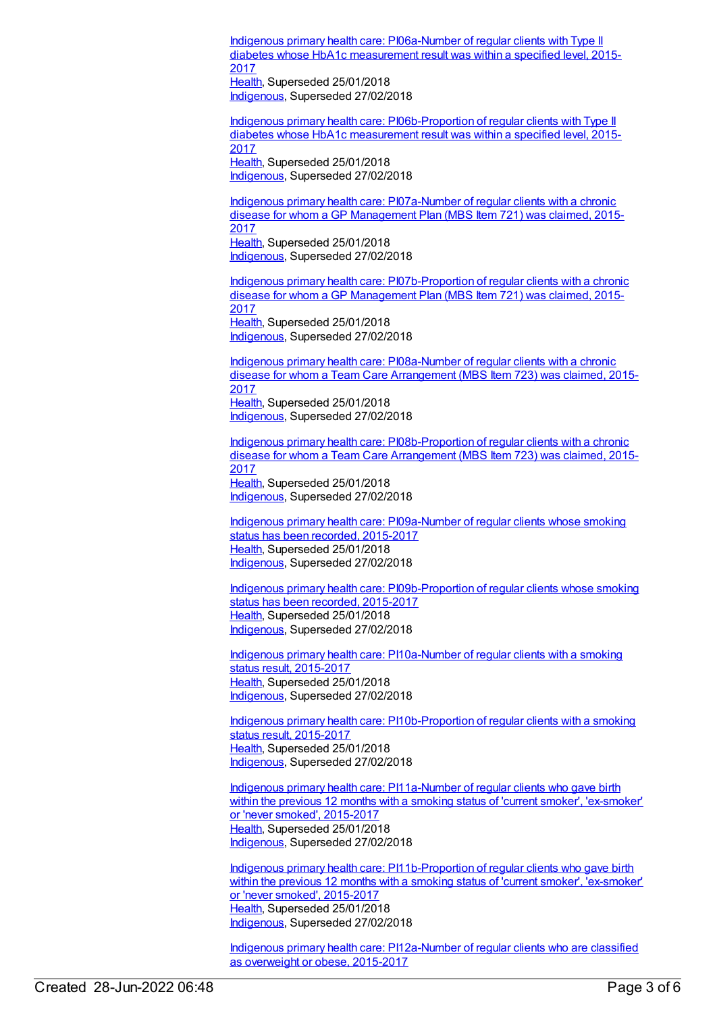Indigenous primary health care: [PI06a-Number](https://meteor.aihw.gov.au/content/663928) of regular clients with Type II diabetes whose HbA1c measurement result was within a specified level, 2015- 2017 [Health](https://meteor.aihw.gov.au/RegistrationAuthority/12), Superseded 25/01/2018

[Indigenous](https://meteor.aihw.gov.au/RegistrationAuthority/6), Superseded 27/02/2018

Indigenous primary health care: [PI06b-Proportion](https://meteor.aihw.gov.au/content/663930) of regular clients with Type II diabetes whose HbA1c measurement result was within a specified level, 2015- 2017 [Health](https://meteor.aihw.gov.au/RegistrationAuthority/12), Superseded 25/01/2018 [Indigenous](https://meteor.aihw.gov.au/RegistrationAuthority/6), Superseded 27/02/2018

Indigenous primary health care: [PI07a-Number](https://meteor.aihw.gov.au/content/663932) of regular clients with a chronic disease for whom a GP Management Plan (MBS Item 721) was claimed, 2015- 2017 [Health](https://meteor.aihw.gov.au/RegistrationAuthority/12), Superseded 25/01/2018 [Indigenous](https://meteor.aihw.gov.au/RegistrationAuthority/6), Superseded 27/02/2018

Indigenous primary health care: [PI07b-Proportion](https://meteor.aihw.gov.au/content/663937) of regular clients with a chronic disease for whom a GP Management Plan (MBS Item 721) was claimed, 2015-2017 [Health](https://meteor.aihw.gov.au/RegistrationAuthority/12), Superseded 25/01/2018 [Indigenous](https://meteor.aihw.gov.au/RegistrationAuthority/6), Superseded 27/02/2018

Indigenous primary health care: [PI08a-Number](https://meteor.aihw.gov.au/content/663939) of regular clients with a chronic disease for whom a Team Care Arrangement (MBS Item 723) was claimed, 2015- 2017 [Health](https://meteor.aihw.gov.au/RegistrationAuthority/12), Superseded 25/01/2018 [Indigenous](https://meteor.aihw.gov.au/RegistrationAuthority/6), Superseded 27/02/2018

Indigenous primary health care: [PI08b-Proportion](https://meteor.aihw.gov.au/content/663942) of regular clients with a chronic disease for whom a Team Care Arrangement (MBS Item 723) was claimed, 2015- 2017 [Health](https://meteor.aihw.gov.au/RegistrationAuthority/12), Superseded 25/01/2018 [Indigenous](https://meteor.aihw.gov.au/RegistrationAuthority/6), Superseded 27/02/2018

Indigenous primary health care: [PI09a-Number](https://meteor.aihw.gov.au/content/663863) of regular clients whose smoking status has been recorded, 2015-2017 [Health](https://meteor.aihw.gov.au/RegistrationAuthority/12), Superseded 25/01/2018 [Indigenous](https://meteor.aihw.gov.au/RegistrationAuthority/6), Superseded 27/02/2018

Indigenous primary health care: [PI09b-Proportion](https://meteor.aihw.gov.au/content/663866) of regular clients whose smoking status has been recorded, 2015-2017 [Health](https://meteor.aihw.gov.au/RegistrationAuthority/12), Superseded 25/01/2018 [Indigenous](https://meteor.aihw.gov.au/RegistrationAuthority/6), Superseded 27/02/2018

Indigenous primary health care: [PI10a-Number](https://meteor.aihw.gov.au/content/663870) of regular clients with a smoking status result, 2015-2017 [Health](https://meteor.aihw.gov.au/RegistrationAuthority/12), Superseded 25/01/2018 [Indigenous](https://meteor.aihw.gov.au/RegistrationAuthority/6), Superseded 27/02/2018

Indigenous primary health care: [PI10b-Proportion](https://meteor.aihw.gov.au/content/663872) of regular clients with a smoking status result, 2015-2017 [Health](https://meteor.aihw.gov.au/RegistrationAuthority/12), Superseded 25/01/2018 [Indigenous](https://meteor.aihw.gov.au/RegistrationAuthority/6), Superseded 27/02/2018

Indigenous primary health care: [PI11a-Number](https://meteor.aihw.gov.au/content/663874) of regular clients who gave birth within the previous 12 months with a smoking status of 'current smoker', 'ex-smoker' or 'never smoked', 2015-2017 [Health](https://meteor.aihw.gov.au/RegistrationAuthority/12), Superseded 25/01/2018 [Indigenous](https://meteor.aihw.gov.au/RegistrationAuthority/6), Superseded 27/02/2018

Indigenous primary health care: [PI11b-Proportion](https://meteor.aihw.gov.au/content/663876) of regular clients who gave birth within the previous 12 months with a smoking status of 'current smoker', 'ex-smoker' or 'never smoked', 2015-2017 [Health](https://meteor.aihw.gov.au/RegistrationAuthority/12), Superseded 25/01/2018 [Indigenous](https://meteor.aihw.gov.au/RegistrationAuthority/6), Superseded 27/02/2018

Indigenous primary health care: [PI12a-Number](https://meteor.aihw.gov.au/content/663944) of regular clients who are classified as overweight or obese, 2015-2017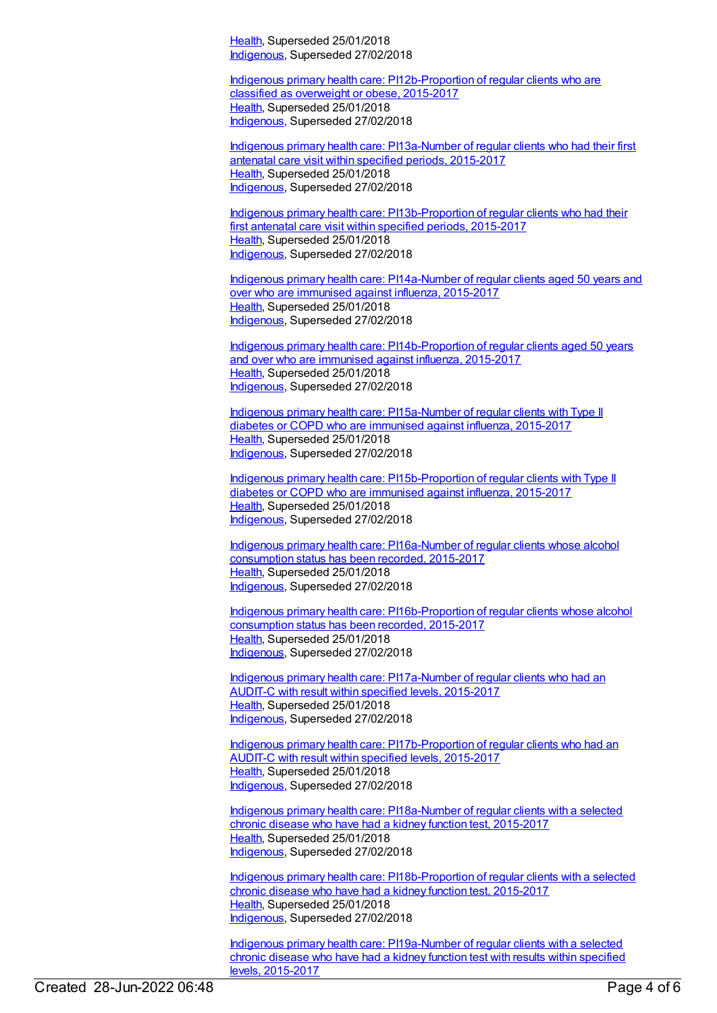[Health](https://meteor.aihw.gov.au/RegistrationAuthority/12), Superseded 25/01/2018 [Indigenous](https://meteor.aihw.gov.au/RegistrationAuthority/6), Superseded 27/02/2018

Indigenous primary health care: [PI12b-Proportion](https://meteor.aihw.gov.au/content/663934) of regular clients who are classified as overweight or obese, 2015-2017 [Health](https://meteor.aihw.gov.au/RegistrationAuthority/12), Superseded 25/01/2018 [Indigenous](https://meteor.aihw.gov.au/RegistrationAuthority/6), Superseded 27/02/2018

Indigenous primary health care: [PI13a-Number](https://meteor.aihw.gov.au/content/663947) of regular clients who had their first antenatal care visit within specified periods, 2015-2017 [Health](https://meteor.aihw.gov.au/RegistrationAuthority/12), Superseded 25/01/2018 [Indigenous](https://meteor.aihw.gov.au/RegistrationAuthority/6), Superseded 27/02/2018

Indigenous primary health care: [PI13b-Proportion](https://meteor.aihw.gov.au/content/663951) of regular clients who had their first antenatal care visit within specified periods, 2015-2017 [Health](https://meteor.aihw.gov.au/RegistrationAuthority/12), Superseded 25/01/2018 [Indigenous](https://meteor.aihw.gov.au/RegistrationAuthority/6), Superseded 27/02/2018

Indigenous primary health care: [PI14a-Number](https://meteor.aihw.gov.au/content/663954) of regular clients aged 50 years and over who are immunised against influenza, 2015-2017 [Health](https://meteor.aihw.gov.au/RegistrationAuthority/12), Superseded 25/01/2018 [Indigenous](https://meteor.aihw.gov.au/RegistrationAuthority/6), Superseded 27/02/2018

Indigenous primary health care: [PI14b-Proportion](https://meteor.aihw.gov.au/content/663956) of regular clients aged 50 years and over who are immunised against influenza, 2015-2017 [Health](https://meteor.aihw.gov.au/RegistrationAuthority/12), Superseded 25/01/2018 [Indigenous](https://meteor.aihw.gov.au/RegistrationAuthority/6), Superseded 27/02/2018

Indigenous primary health care: [PI15a-Number](https://meteor.aihw.gov.au/content/663959) of regular clients with Type II diabetes or COPD who are immunised against influenza, 2015-2017 [Health](https://meteor.aihw.gov.au/RegistrationAuthority/12), Superseded 25/01/2018 [Indigenous](https://meteor.aihw.gov.au/RegistrationAuthority/6), Superseded 27/02/2018

Indigenous primary health care: [PI15b-Proportion](https://meteor.aihw.gov.au/content/663961) of regular clients with Type II diabetes or COPD who are immunised against influenza, 2015-2017 [Health](https://meteor.aihw.gov.au/RegistrationAuthority/12), Superseded 25/01/2018 [Indigenous](https://meteor.aihw.gov.au/RegistrationAuthority/6), Superseded 27/02/2018

Indigenous primary health care: [PI16a-Number](https://meteor.aihw.gov.au/content/663878) of regular clients whose alcohol consumption status has been recorded, 2015-2017 [Health](https://meteor.aihw.gov.au/RegistrationAuthority/12), Superseded 25/01/2018 [Indigenous](https://meteor.aihw.gov.au/RegistrationAuthority/6), Superseded 27/02/2018

Indigenous primary health care: [PI16b-Proportion](https://meteor.aihw.gov.au/content/663880) of regular clients whose alcohol consumption status has been recorded, 2015-2017 [Health](https://meteor.aihw.gov.au/RegistrationAuthority/12), Superseded 25/01/2018 [Indigenous](https://meteor.aihw.gov.au/RegistrationAuthority/6), Superseded 27/02/2018

Indigenous primary health care: [PI17a-Number](https://meteor.aihw.gov.au/content/663963) of regular clients who had an AUDIT-C with result within specified levels, 2015-2017 [Health](https://meteor.aihw.gov.au/RegistrationAuthority/12), Superseded 25/01/2018 [Indigenous](https://meteor.aihw.gov.au/RegistrationAuthority/6), Superseded 27/02/2018

Indigenous primary health care: [PI17b-Proportion](https://meteor.aihw.gov.au/content/663965) of regular clients who had an AUDIT-C with result within specified levels, 2015-2017 [Health](https://meteor.aihw.gov.au/RegistrationAuthority/12), Superseded 25/01/2018 [Indigenous](https://meteor.aihw.gov.au/RegistrationAuthority/6), Superseded 27/02/2018

Indigenous primary health care: [PI18a-Number](https://meteor.aihw.gov.au/content/663967) of regular clients with a selected chronic disease who have had a kidney function test, 2015-2017 [Health](https://meteor.aihw.gov.au/RegistrationAuthority/12), Superseded 25/01/2018 [Indigenous](https://meteor.aihw.gov.au/RegistrationAuthority/6), Superseded 27/02/2018

Indigenous primary health care: [PI18b-Proportion](https://meteor.aihw.gov.au/content/663969) of regular clients with a selected chronic disease who have had a kidney function test, 2015-2017 [Health](https://meteor.aihw.gov.au/RegistrationAuthority/12), Superseded 25/01/2018 [Indigenous](https://meteor.aihw.gov.au/RegistrationAuthority/6), Superseded 27/02/2018

Indigenous primary health care: [PI19a-Number](https://meteor.aihw.gov.au/content/663973) of regular clients with a selected chronic disease who have had a kidney function test with results within specified levels, 2015-2017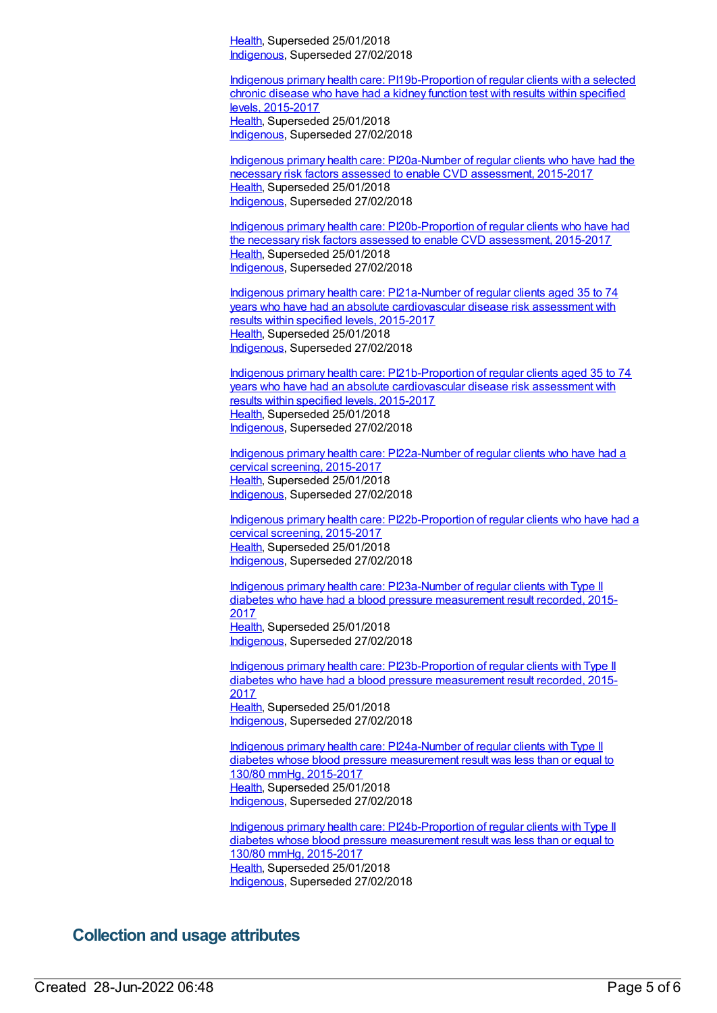[Health](https://meteor.aihw.gov.au/RegistrationAuthority/12), Superseded 25/01/2018 [Indigenous](https://meteor.aihw.gov.au/RegistrationAuthority/6), Superseded 27/02/2018

Indigenous primary health care: [PI19b-Proportion](https://meteor.aihw.gov.au/content/663976) of regular clients with a selected chronic disease who have had a kidney function test with results within specified levels, 2015-2017 [Health](https://meteor.aihw.gov.au/RegistrationAuthority/12), Superseded 25/01/2018 [Indigenous](https://meteor.aihw.gov.au/RegistrationAuthority/6), Superseded 27/02/2018

Indigenous primary health care: [PI20a-Number](https://meteor.aihw.gov.au/content/663882) of regular clients who have had the necessary risk factors assessed to enable CVD assessment, 2015-2017 [Health](https://meteor.aihw.gov.au/RegistrationAuthority/12), Superseded 25/01/2018 [Indigenous](https://meteor.aihw.gov.au/RegistrationAuthority/6), Superseded 27/02/2018

Indigenous primary health care: [PI20b-Proportion](https://meteor.aihw.gov.au/content/663884) of regular clients who have had the necessary risk factors assessed to enable CVD assessment, 2015-2017 [Health](https://meteor.aihw.gov.au/RegistrationAuthority/12), Superseded 25/01/2018 [Indigenous](https://meteor.aihw.gov.au/RegistrationAuthority/6), Superseded 27/02/2018

Indigenous primary health care: PI21a-Number of regular clients aged 35 to 74 years who have had an absolute [cardiovascular](https://meteor.aihw.gov.au/content/663978) disease risk assessment with results within specified levels, 2015-2017 [Health](https://meteor.aihw.gov.au/RegistrationAuthority/12), Superseded 25/01/2018 [Indigenous](https://meteor.aihw.gov.au/RegistrationAuthority/6), Superseded 27/02/2018

Indigenous primary health care: [PI21b-Proportion](https://meteor.aihw.gov.au/content/663980) of regular clients aged 35 to 74 years who have had an absolute cardiovascular disease risk assessment with results within specified levels, 2015-2017 [Health](https://meteor.aihw.gov.au/RegistrationAuthority/12), Superseded 25/01/2018 [Indigenous](https://meteor.aihw.gov.au/RegistrationAuthority/6), Superseded 27/02/2018

Indigenous primary health care: [PI22a-Number](https://meteor.aihw.gov.au/content/663982) of regular clients who have had a cervical screening, 2015-2017 [Health](https://meteor.aihw.gov.au/RegistrationAuthority/12), Superseded 25/01/2018 [Indigenous](https://meteor.aihw.gov.au/RegistrationAuthority/6), Superseded 27/02/2018

Indigenous primary health care: [PI22b-Proportion](https://meteor.aihw.gov.au/content/663984) of regular clients who have had a cervical screening, 2015-2017 [Health](https://meteor.aihw.gov.au/RegistrationAuthority/12), Superseded 25/01/2018 [Indigenous](https://meteor.aihw.gov.au/RegistrationAuthority/6), Superseded 27/02/2018

Indigenous primary health care: [PI23a-Number](https://meteor.aihw.gov.au/content/663986) of regular clients with Type II diabetes who have had a blood pressure measurement result recorded, 2015- 2017 [Health](https://meteor.aihw.gov.au/RegistrationAuthority/12), Superseded 25/01/2018 [Indigenous](https://meteor.aihw.gov.au/RegistrationAuthority/6), Superseded 27/02/2018

Indigenous primary health care: [PI23b-Proportion](https://meteor.aihw.gov.au/content/663988) of regular clients with Type II diabetes who have had a blood pressure measurement result recorded, 2015- 2017 [Health](https://meteor.aihw.gov.au/RegistrationAuthority/12), Superseded 25/01/2018 [Indigenous](https://meteor.aihw.gov.au/RegistrationAuthority/6), Superseded 27/02/2018

Indigenous primary health care: [PI24a-Number](https://meteor.aihw.gov.au/content/663990) of regular clients with Type II diabetes whose blood pressure measurement result was less than or equal to 130/80 mmHg, 2015-2017 [Health](https://meteor.aihw.gov.au/RegistrationAuthority/12), Superseded 25/01/2018 [Indigenous](https://meteor.aihw.gov.au/RegistrationAuthority/6), Superseded 27/02/2018

Indigenous primary health care: [PI24b-Proportion](https://meteor.aihw.gov.au/content/663992) of regular clients with Type II diabetes whose blood pressure measurement result was less than or equal to 130/80 mmHg, 2015-2017 [Health](https://meteor.aihw.gov.au/RegistrationAuthority/12), Superseded 25/01/2018 [Indigenous](https://meteor.aihw.gov.au/RegistrationAuthority/6), Superseded 27/02/2018

### **Collection and usage attributes**